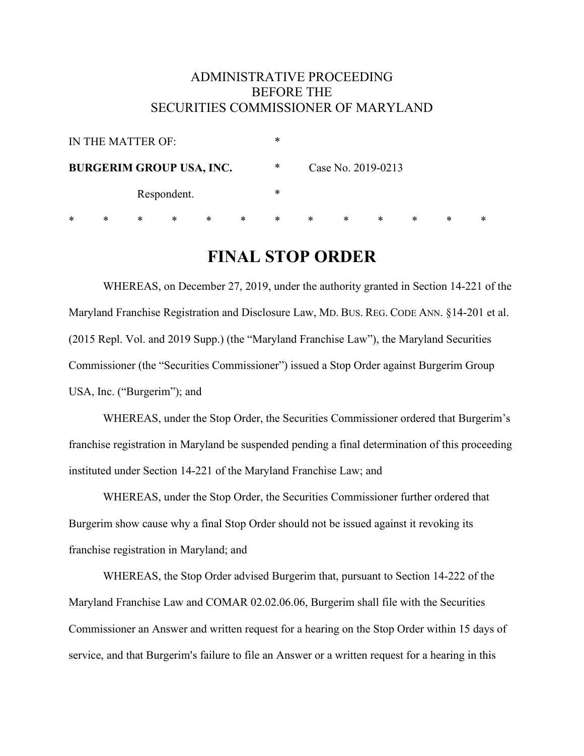# ADMINISTRATIVE PROCEEDING BEFORE THE SECURITIES COMMISSIONER OF MARYLAND

| IN THE MATTER OF:               |   |   |   |   |   | * |   |                    |   |   |   |   |  |
|---------------------------------|---|---|---|---|---|---|---|--------------------|---|---|---|---|--|
| <b>BURGERIM GROUP USA, INC.</b> |   |   |   |   |   | ∗ |   | Case No. 2019-0213 |   |   |   |   |  |
| Respondent.                     |   |   |   |   | * |   |   |                    |   |   |   |   |  |
| *                               | ∗ | ∗ | ∗ | ∗ | ∗ | ∗ | ∗ | ∗                  | ∗ | ∗ | * | * |  |

# **FINAL STOP ORDER**

WHEREAS, on December 27, 2019, under the authority granted in Section 14-221 of the Maryland Franchise Registration and Disclosure Law, MD. BUS. REG. CODE ANN. §14-201 et al. (2015 Repl. Vol. and 2019 Supp.) (the "Maryland Franchise Law"), the Maryland Securities Commissioner (the "Securities Commissioner") issued a Stop Order against Burgerim Group USA, Inc. ("Burgerim"); and

WHEREAS, under the Stop Order, the Securities Commissioner ordered that Burgerim's franchise registration in Maryland be suspended pending a final determination of this proceeding instituted under Section 14-221 of the Maryland Franchise Law; and

WHEREAS, under the Stop Order, the Securities Commissioner further ordered that Burgerim show cause why a final Stop Order should not be issued against it revoking its franchise registration in Maryland; and

WHEREAS, the Stop Order advised Burgerim that, pursuant to Section 14-222 of the Maryland Franchise Law and COMAR 02.02.06.06, Burgerim shall file with the Securities Commissioner an Answer and written request for a hearing on the Stop Order within 15 days of service, and that Burgerim's failure to file an Answer or a written request for a hearing in this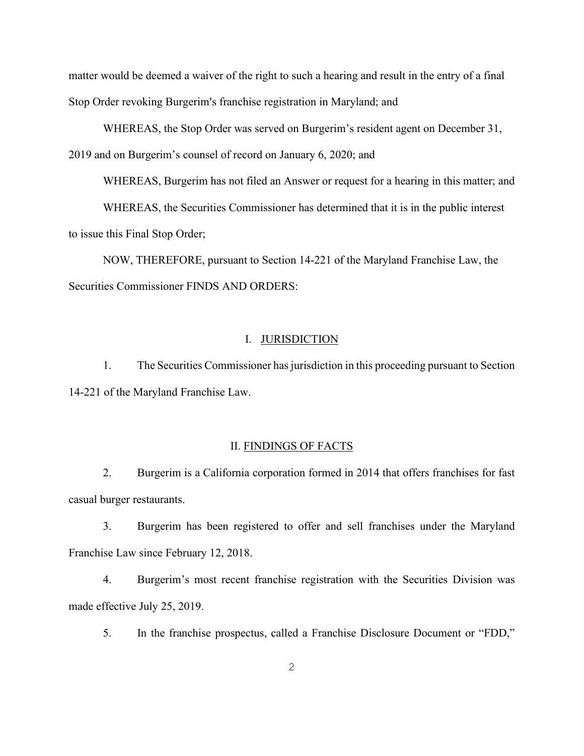matter would be deemed a waiver of the right to such a hearing and result in the entry of a final Stop Order revoking Burgerim's franchise registration in Maryland; and

WHEREAS, the Stop Order was served on Burgerim's resident agent on December 31, 2019 and on Burgerim's counsel of record on January 6, 2020; and

WHEREAS, Burgerim has not filed an Answer or request for a hearing in this matter; and

WHEREAS, the Securities Commissioner has determined that it is in the public interest to issue this Final Stop Order;

NOW, THEREFORE, pursuant to Section 14-221 of the Maryland Franchise Law, the Securities Commissioner FINDS AND ORDERS:

#### I. JURISDICTION

1. The Securities Commissioner has jurisdiction in this proceeding pursuant to Section 14-221 of the Maryland Franchise Law.

#### II. FINDINGS OF FACTS

2. Burgerim is a California corporation formed in 2014 that offers franchises for fast casual burger restaurants.

3. Burgerim has been registered to offer and sell franchises under the Maryland Franchise Law since February 12, 2018.

4. Burgerim's most recent franchise registration with the Securities Division was made effective July 25, 2019.

5. In the franchise prospectus, called a Franchise Disclosure Document or "FDD,"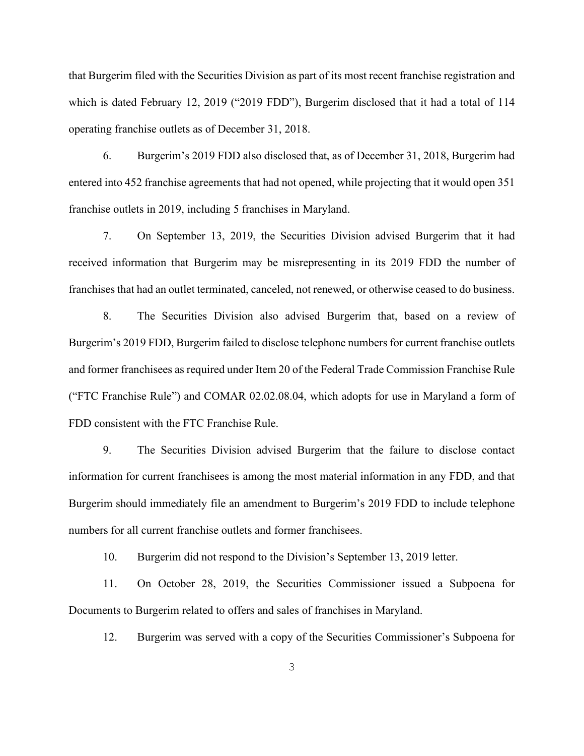that Burgerim filed with the Securities Division as part of its most recent franchise registration and which is dated February 12, 2019 ("2019 FDD"), Burgerim disclosed that it had a total of 114 operating franchise outlets as of December 31, 2018.

6. Burgerim's 2019 FDD also disclosed that, as of December 31, 2018, Burgerim had entered into 452 franchise agreements that had not opened, while projecting that it would open 351 franchise outlets in 2019, including 5 franchises in Maryland.

7. On September 13, 2019, the Securities Division advised Burgerim that it had received information that Burgerim may be misrepresenting in its 2019 FDD the number of franchises that had an outlet terminated, canceled, not renewed, or otherwise ceased to do business.

8. The Securities Division also advised Burgerim that, based on a review of Burgerim's 2019 FDD, Burgerim failed to disclose telephone numbers for current franchise outlets and former franchisees as required under Item 20 of the Federal Trade Commission Franchise Rule ("FTC Franchise Rule") and COMAR 02.02.08.04, which adopts for use in Maryland a form of FDD consistent with the FTC Franchise Rule.

9. The Securities Division advised Burgerim that the failure to disclose contact information for current franchisees is among the most material information in any FDD, and that Burgerim should immediately file an amendment to Burgerim's 2019 FDD to include telephone numbers for all current franchise outlets and former franchisees.

10. Burgerim did not respond to the Division's September 13, 2019 letter.

11. On October 28, 2019, the Securities Commissioner issued a Subpoena for Documents to Burgerim related to offers and sales of franchises in Maryland.

12. Burgerim was served with a copy of the Securities Commissioner's Subpoena for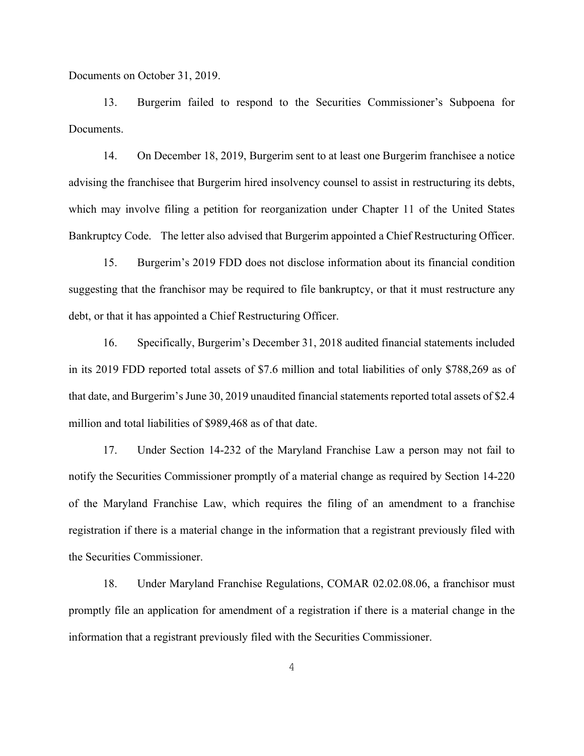Documents on October 31, 2019.

13. Burgerim failed to respond to the Securities Commissioner's Subpoena for Documents.

14. On December 18, 2019, Burgerim sent to at least one Burgerim franchisee a notice advising the franchisee that Burgerim hired insolvency counsel to assist in restructuring its debts, which may involve filing a petition for reorganization under Chapter 11 of the United States Bankruptcy Code. The letter also advised that Burgerim appointed a Chief Restructuring Officer.

15. Burgerim's 2019 FDD does not disclose information about its financial condition suggesting that the franchisor may be required to file bankruptcy, or that it must restructure any debt, or that it has appointed a Chief Restructuring Officer.

16. Specifically, Burgerim's December 31, 2018 audited financial statements included in its 2019 FDD reported total assets of \$7.6 million and total liabilities of only \$788,269 as of that date, and Burgerim's June 30, 2019 unaudited financial statements reported total assets of \$2.4 million and total liabilities of \$989,468 as of that date.

17. Under Section 14-232 of the Maryland Franchise Law a person may not fail to notify the Securities Commissioner promptly of a material change as required by Section 14-220 of the Maryland Franchise Law, which requires the filing of an amendment to a franchise registration if there is a material change in the information that a registrant previously filed with the Securities Commissioner.

18. Under Maryland Franchise Regulations, COMAR 02.02.08.06, a franchisor must promptly file an application for amendment of a registration if there is a material change in the information that a registrant previously filed with the Securities Commissioner.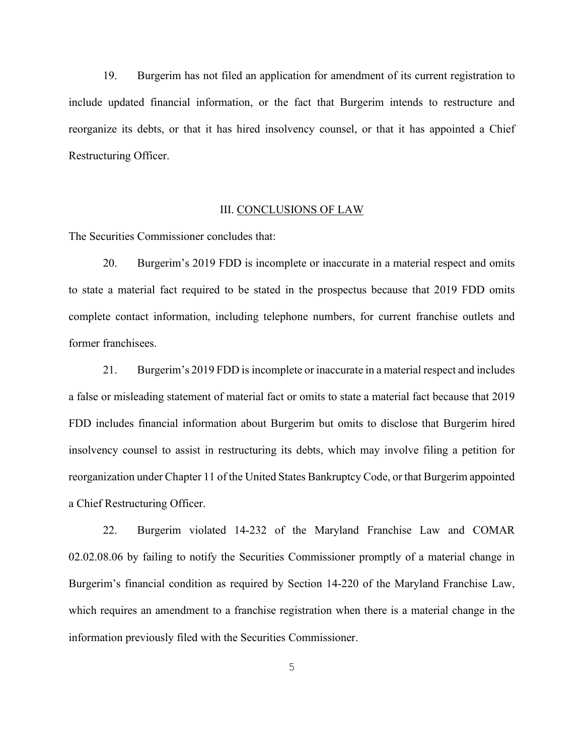19. Burgerim has not filed an application for amendment of its current registration to include updated financial information, or the fact that Burgerim intends to restructure and reorganize its debts, or that it has hired insolvency counsel, or that it has appointed a Chief Restructuring Officer.

#### III. CONCLUSIONS OF LAW

The Securities Commissioner concludes that:

20. Burgerim's 2019 FDD is incomplete or inaccurate in a material respect and omits to state a material fact required to be stated in the prospectus because that 2019 FDD omits complete contact information, including telephone numbers, for current franchise outlets and former franchisees.

21. Burgerim's 2019 FDD is incomplete or inaccurate in a material respect and includes a false or misleading statement of material fact or omits to state a material fact because that 2019 FDD includes financial information about Burgerim but omits to disclose that Burgerim hired insolvency counsel to assist in restructuring its debts, which may involve filing a petition for reorganization under Chapter 11 of the United States Bankruptcy Code, or that Burgerim appointed a Chief Restructuring Officer.

22. Burgerim violated 14-232 of the Maryland Franchise Law and COMAR 02.02.08.06 by failing to notify the Securities Commissioner promptly of a material change in Burgerim's financial condition as required by Section 14-220 of the Maryland Franchise Law, which requires an amendment to a franchise registration when there is a material change in the information previously filed with the Securities Commissioner.